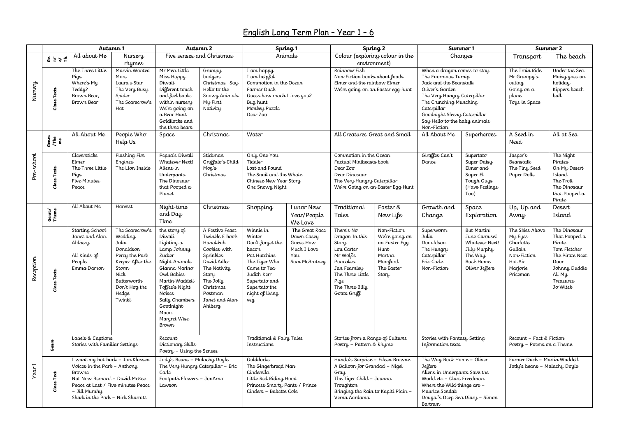## English Long Term Plan – Year 1 – 6

|                   |                        | Autumn 1                                                                                                                                                                                                       |                                                                                                                                                            | Autumn 2                                                                                                                                                                                                                    |                                                                                                                                                                                      | Spring 1                                                                                                                                                                    |                                                                                  | Spring 2                                                                                                                                                                   |                                                                                                    | Summer 1                                                                                                                                                                                                                                                |                                                                                                          | Summer 2                                                                                             |                                                                                                                                               |
|-------------------|------------------------|----------------------------------------------------------------------------------------------------------------------------------------------------------------------------------------------------------------|------------------------------------------------------------------------------------------------------------------------------------------------------------|-----------------------------------------------------------------------------------------------------------------------------------------------------------------------------------------------------------------------------|--------------------------------------------------------------------------------------------------------------------------------------------------------------------------------------|-----------------------------------------------------------------------------------------------------------------------------------------------------------------------------|----------------------------------------------------------------------------------|----------------------------------------------------------------------------------------------------------------------------------------------------------------------------|----------------------------------------------------------------------------------------------------|---------------------------------------------------------------------------------------------------------------------------------------------------------------------------------------------------------------------------------------------------------|----------------------------------------------------------------------------------------------------------|------------------------------------------------------------------------------------------------------|-----------------------------------------------------------------------------------------------------------------------------------------------|
|                   | 353E                   | All about Me                                                                                                                                                                                                   | Nursery<br>rhymes                                                                                                                                          | Five senses and Christmas                                                                                                                                                                                                   |                                                                                                                                                                                      | Animals                                                                                                                                                                     |                                                                                  | Colour (exploring colour in the<br>environment)                                                                                                                            |                                                                                                    | Changes                                                                                                                                                                                                                                                 |                                                                                                          | Transport                                                                                            | The beach                                                                                                                                     |
| ArasmN            | <b>Class Texts</b>     | The Three Little<br>Pigs<br>Where's My<br>Teddy?<br>Brown Bear,<br>Brown Bear                                                                                                                                  | Marvin Wanted<br>More<br>Laura's Star<br>The Very Busy<br>Spider<br>The Scarecrow's<br>Hat                                                                 | Mr Men Little<br>Miss Happy<br>Diwali<br>Different touch<br>and feel books<br>within nursery<br>We're going on<br>a Bear Hunt<br>Goldilocks and<br>the three bears                                                          | Grumpy<br><b>badgers</b><br>Christmas Say<br>Hello to the<br>Snowy Animals<br>My First<br>Nativity                                                                                   | I am happy<br>I am helpful<br>Commotion in the Ocean<br>Farmer Duck<br>Guess how much I love you?<br>Bug hunt<br>Monkey Puzzle<br>Dear Zoo                                  |                                                                                  | Rainbow Fish<br>Non-Fiction books about foods<br>Elmer and the rainbow Elmer                                                                                               | We're going on an Easter egg hunt                                                                  | When a dragon comes to stay<br>The Enormous Turnip<br>Jack and the Beanstalk<br>Oliver's Garden<br>The Very Hungry Caterpillar<br>The Crunching Munching<br>Caterpillar<br>Goodnight Sleepy Caterpillar<br>Say Hello to the baby animals<br>Non-Fiction |                                                                                                          | The Train Ride<br>Mr Grumpy's<br>outing<br>Going on a<br>plane<br>Toys in Space                      | Under the Sea<br>Maisy goes on<br>holiday<br>Kippers beach<br>ball                                                                            |
| Pre-school        | $G$ enre<br>/The<br>me | All About Me                                                                                                                                                                                                   | People Who<br>Help Us                                                                                                                                      | Space                                                                                                                                                                                                                       | Christmas                                                                                                                                                                            | Water                                                                                                                                                                       |                                                                                  | All Creatures Great and Small                                                                                                                                              |                                                                                                    | All About Me                                                                                                                                                                                                                                            | <i>Superheroes</i>                                                                                       | A Seed in<br><b>Need</b>                                                                             | All at Sea                                                                                                                                    |
|                   | <b>Class Texts</b>     | Cleversticks<br><b>Elmer</b><br>The Three Little<br>Pigs<br>Five Minutes<br>Peace                                                                                                                              | Flashing Fire<br><b>Engines</b><br>The Lion Inside                                                                                                         | Peppa's Diwali<br>Whatever Next!<br>Aliens in<br>Underpants<br>The Dinosaur<br>that Pooped a<br>Planet                                                                                                                      | Stickman<br>Gruffalo's Child<br>Mog's<br>Christmas                                                                                                                                   | Only One You<br>Tiddler<br>Lost and Found<br>The Snail and the Whale<br>Chinese New Year Story<br>One Snowy Night                                                           |                                                                                  | Commotion in the Ocean<br>Factual Minibeasts book<br>Dear Zoo<br>Dear Dinosaur<br>The Very Hungry Caterpillar<br>We're Going on an Easter Egg Hunt                         |                                                                                                    | Giraffes Can't<br>Dance                                                                                                                                                                                                                                 | Supertato<br>Super Daisy<br>Elmer and<br>Super El<br>Tough Guys<br>(Have Feelings<br>$To\sigma$ )        | Jasper's<br>Beanstalk<br>The Tiny Seed<br>Paper Dolls                                                | The Night<br>Pirates<br>On My Desert<br>Island<br>The Troll<br>The Dinosaur<br>that Pooped a<br>Pirate                                        |
|                   | Genre/<br>Theme        | All About Me                                                                                                                                                                                                   | Harvest                                                                                                                                                    | Night-time<br>and Day<br>Time                                                                                                                                                                                               | Christmas                                                                                                                                                                            | Shopping                                                                                                                                                                    | Lunar New<br>Year/People<br>We Love                                              | Traditional<br>Tales                                                                                                                                                       | Easter &<br>New Life                                                                               | Growth and<br>Change                                                                                                                                                                                                                                    | Space<br>Exploration                                                                                     | Up, Up and<br>Away                                                                                   | Desert<br>Island                                                                                                                              |
| Reception         | Class Texts            | Starting School<br>Janet and Alan<br>Ahlberg<br>All Kinds of<br>People<br>Emma Damon                                                                                                                           | The Scarecrow's<br>Wedding<br>Julia<br>Donaldson<br>Percy the Park<br>Keeper After the<br>Storm<br>Nick<br>Butterworth<br>Don't Hog the<br>Hedge<br>Twinkl | the story of<br>Diwali<br>Lighting a<br>Lamp Johnny<br>Zucker<br>Night Animals<br>Gianna Marino<br>Owl Babies<br>Martin Waddell<br>Toffee's Night<br>Noises<br>Sally Chambers<br>Goodnight<br>Moon<br>Margret Wise<br>Brown | A Festive Feast<br>Twinkle E book<br>Hanukkah<br>Cookies with<br>Sprinkles<br>David Adler<br>The Nativity<br>Story<br>The Jolly<br>Christmas<br>Postman<br>Janet and Alan<br>Ahlberg | Winnie in<br>Winter<br>Don't forget the<br>bacon<br>Pat Hutchins<br>The Tiger Who<br>Came to Tea<br>Judith Kerr<br>Supertato and<br>Supertato the<br>night of living<br>veg | The Great Race<br>Dawn Casey<br>Guess How<br>Much I Love<br>You<br>Sam McBratney | There's No<br>Dragon In this<br>Story<br>Lou Carter<br>Mr Woll's<br>Pancakes<br>Jan Fearnley<br>The Three Little<br>Pigs<br>The Three Billy<br>Goats Gruff                 | Non-Fiction<br>We're going on<br>an Easter Egg<br>Hunt<br>Martha<br>Mumford<br>The Easter<br>Story | Superworm<br>Julia<br>Donaldson<br>The Hungry<br>Caterpillar<br>Eric Carle<br>Non-Fiction                                                                                                                                                               | But Martin!<br>June Carousel<br>Whatever Next!<br>Jilly Murphy<br>The Way<br>Back Home<br>Oliver Jeffers | The Skies Above<br>My Eyes<br>Charlotte<br>Gullain<br>Non-Fiction<br>Hot Air<br>Marjorie<br>Priceman | The Dinosaur<br>That Pooped a<br>Pirate<br>Tom Fletcher<br>The Pirate Next<br>Door<br>Johnny Duddle<br>All My<br><b>Treasures</b><br>Jo Witek |
|                   | Genre                  | Labels & Captions<br>Stories with Familiar Settings                                                                                                                                                            |                                                                                                                                                            | Recount<br>Dictionary Skills<br>Poetry - Using the Senses                                                                                                                                                                   |                                                                                                                                                                                      | Traditional & Fairy Tales<br>Instructions                                                                                                                                   |                                                                                  | Stories from a Range of Cultures<br>Poetry - Pattern & Rhyme                                                                                                               |                                                                                                    | Stories with Fantasy Setting<br>Information texts                                                                                                                                                                                                       |                                                                                                          | Recount - Fact & Fiction<br>Poetry – Poems on a Theme                                                |                                                                                                                                               |
| Year <sub>1</sub> | Text<br>Class          | I want my hat back - Jon Klassen<br>Voices in the Park - Anthony<br><b>Browne</b><br>Not Now Bernard - David McKee<br>Peace at Last / Five minutes Peace<br>- Jill Murphy<br>Shark in the Park - Nick Sharratt |                                                                                                                                                            | Jody's Beans - Malachy Doyle<br>The Very Hungry Caterpillar - Eric<br>Carle<br>Footpath Flowers - JonArno<br>Lawson                                                                                                         |                                                                                                                                                                                      | <b>Goldilocks</b><br>The Gingerbread Man<br>Cinderella<br>Little Red Riding Hood<br>Princess Smarty Pants / Prince<br>Cinders - Babette Cole                                |                                                                                  | Handa's Surprise - Eileen Browne<br>A Balloon for Grandad - Nigel<br>Gray<br>The Tiger Child - Joanna<br>Troughton<br>Bringing the Rain to Kapiti Plain -<br>Verna Aardama |                                                                                                    | The Way Back Home - Oliver<br>Jeffers<br>Aliens in Underpants Save the<br>World etc - Clare Freedman<br>Where the Wild things are -<br>Maurice Sendak<br>Dougal's Deep Sea Diary - Simon<br>Bartram                                                     |                                                                                                          | Farmer Duck - Martin Waddell<br>Jody's beans – Malachy Doyle                                         |                                                                                                                                               |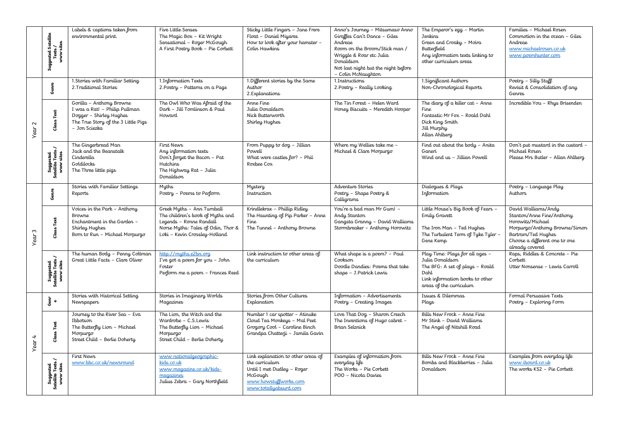|                      | Satellite<br>Texts /<br>www sites<br>Suggested: | Labels & captions taken from<br>environmental print.                                                                                         | Five Little Senses<br>The Magic Box - Kit Wright<br>Sensational - Roger McGough<br>A First Poetry Book - Pie Corbett                                             | Sticky Little Fingers - Jane Frere<br>Float - Daniel Miyares<br>How to look after your hamster -<br>Colin Hawkins                               | Anno's Journey - Mitsumaso Anno<br>Giraffes Can't Dance - Giles<br>Andreae<br>Room on the Broom/Stick man /<br>Wriggle & Roar etc Julia<br>Donaldson<br>Not last night but the night before<br>- Colin McNaughton | The Emperor's egg - Martin<br>Jenkins<br>Green and Croaky - Moira<br><b>Butterfield</b><br>Any information texts linking to<br>other curriculum areas       | Families - Michael Rosen<br>Commotion in the ocean - Giles<br>Andreae<br>www.michaelrosen.co.uk<br>www.poemhunter.com                                                           |
|----------------------|-------------------------------------------------|----------------------------------------------------------------------------------------------------------------------------------------------|------------------------------------------------------------------------------------------------------------------------------------------------------------------|-------------------------------------------------------------------------------------------------------------------------------------------------|-------------------------------------------------------------------------------------------------------------------------------------------------------------------------------------------------------------------|-------------------------------------------------------------------------------------------------------------------------------------------------------------|---------------------------------------------------------------------------------------------------------------------------------------------------------------------------------|
| Year 2               | Genre                                           | 1. Stories with Familiar Setting<br>2. Traditional Stories                                                                                   | 1.Information Texts<br>2. Poetry - Patterns on a Page                                                                                                            | 1. Different stories by the Same<br>Author<br>2. Explanations                                                                                   | 1.Instructions<br>2. Poetry – Really Looking                                                                                                                                                                      | 1. Significant Authors<br>Non-Chronological Reports                                                                                                         | Poetry - Silly Stuff<br>Revisit & Consolidation of any<br><b>Genres</b>                                                                                                         |
|                      | Class Text                                      | Gorilla - Anthony Browne<br>I was a Rat! - Philip Pullman<br>Dogger - Shirley Hughes<br>The True Story of the 3 Little Pigs<br>– Jon Sciezka | The Owl Who Was Afraid of the<br>Dark - Jill Tomlinson & Paul<br>Howard                                                                                          | Anne Fine<br>Julia Donaldson<br>Nick Butterworth<br>Shirley Hughes                                                                              | The Tin Forest - Helen Ward<br>Honey Biscuits - Meredith Hooper                                                                                                                                                   | The diary of a killer cat $-$ Anne<br>Fine<br>Fantastic Mr Fox - Roald Dahl<br>Dick King Smith<br>Jill Murphy<br>Allan Ahlberg                              | Incredible You - Rhys Brisenden                                                                                                                                                 |
|                      | Suggested<br>Satellite Texts /<br>www sites     | The Gingerbread Man<br>Jack and the Beanstalk<br>Cinderella<br>Goldilocks<br>The Three little pigs                                           | First News<br>Any information texts<br>Don't forget the Bacon - Pat<br>Hutchins<br>The Highway Rat – Julia<br>Donaldson                                          | From Puppy to dog - Jillian<br>Powell<br>What were castles for? - Phil<br>Roxbee Cox                                                            | Where my Wellies take me -<br>Michael & Clare Morpurgo                                                                                                                                                            | Find out about the body - Anita<br>Ganeri<br>Wind and us - Jillian Powell                                                                                   | Don't put mustard in the custard -<br>Michael Rosen<br>Please Mrs Butler - Allan Ahlberg                                                                                        |
| $\sqrt{2}$<br>Year 3 | Genre                                           | Stories with Familiar Settings<br>Reports                                                                                                    | Myths<br>Poetry - Poems to Perform                                                                                                                               | Mystery<br>Instruction                                                                                                                          | Adventure Stories<br>Poetry - Shape Poetry &<br>Calligrams                                                                                                                                                        | Dialogues & Plays<br>Information                                                                                                                            | Poetry - Language Play<br>Authors                                                                                                                                               |
|                      | <b>Class Text</b>                               | Voices in the Park - Anthony<br><b>Browne</b><br>Enchantment in the Garden -<br>Shirley Hughes<br>Born to Run - Michael Morpurgo             | Greek Myths - Ann Turnball<br>The children's book of Myths and<br>Legends - Ronne Randall<br>Norse Myths: Tales of Odin, Thor &<br>Loki - Kevin Crossley-Holland | Krindlekrax - Phillip Ridley<br>The Haunting of Pip Parker - Anne<br>Fine<br>The Tunnel - Anthony Browne                                        | You're a bad man Mr Gum! -<br>Andy Stanton<br>Gangsta Granny - David Walliams<br>Stormbreaker - Anthony Horowitz                                                                                                  | Little Mouse's Big Book of Fears -<br>Emily Gravett<br>The Iron Man - Ted Hughes<br>The Turbulent Term of Tyke Tyler -<br>Gene Kemp                         | David Walliams/Andy<br>Stanton/Anne Fine/Anthony<br>Horowitz/Michael<br>Morpurgo/Anthony Browne/Simon<br>Bartram/Ted Hughes<br>Choose a different one to one<br>already covered |
|                      | Suggested<br>Satellite Texts /<br>www sites     | The human Body - Penny Coltman<br>Great Little Facts - Clare Oliver                                                                          | http://muths.e2bn.org<br>I've got a poem for you - John<br>Foster<br>Perform me a poem - Frances Reed                                                            | Link instruction to other areas of<br>the curriculum                                                                                            | What shape is a poem? - Paul<br>Cookson<br>Doodle Dandies: Poems that take<br>shape - J.Patrick Lewis                                                                                                             | Play Time: Plays for all ages -<br>Julia Donaldson<br>The BFG: A set of plays - Roald<br>Dahl<br>Link information books to other<br>areas of the curriculum | Raps, Riddles & Concrete - Pie<br>Corbett<br>Utter Nonsense - Lewis Carroll                                                                                                     |
| $\sqrt{2}$           | ت<br>معر<br>م                                   | Stories with Historical Setting<br><b>Newspapers</b>                                                                                         | Stories in Imaginary Worlds<br>Magazines                                                                                                                         | Stories from Other Cultures<br>Explanation                                                                                                      | Information - Advertisements<br>Poetry - Creating Images                                                                                                                                                          | Issues & Dilemmas<br>Plays                                                                                                                                  | Formal Persuasive Texts<br>Poetry - Exploring Form                                                                                                                              |
|                      | <b>Class Text</b>                               | Journey to the River Sea - Eva<br>Ibbotson<br>The Butterfly Lion - Michael<br>Morpurgo<br>Street Child - Berlie Doherty                      | The Lion, the Witch and the<br>Wardrobe - C.S.Lewis<br>The Butterfly Lion - Michael<br>Morpurgo<br>Street Child - Berlie Doherty                                 | Number 1 car spotter - Atinuke<br>Cloud Tea Monkeys - Mal Peet<br>Grogory Cool – Caroline Binch<br>Grandpa Chatterji - Jamila Gavin             | Love That Dog - Sharon Creech<br>The Inventions of Hugo cabret -<br>Brian Selznick                                                                                                                                | Bills New Frock - Anne Fine<br>Mr Stink - David Walliams<br>The Angel of Nitshill Road                                                                      |                                                                                                                                                                                 |
|                      | Suggested<br>Satellite Texts /<br>www sites     | First News<br>www.bbc.co.uk/newsround                                                                                                        | www.nationalgeographic<br>kids.co.uk<br>www.magazine.co.uk/kids-<br>magazines<br>Julius Zebra - Gary Northfield                                                  | Link explanation to other areas of<br>the curriculum<br>Until I met Dudley - Roger<br>McGough<br>www.howstuffworks.com<br>www.totallyabsurd.com | Examples of information from<br>everyday life<br>The Works - Pie Corbett<br>POO - Nicola Davies                                                                                                                   | Bills New Frock - Anne Fine<br>Bombs and Blackberries - Julia<br>Donaldson                                                                                  | Examples from everyday life<br>www.iboard.co.uk<br>The works KS2 - Pie Corbett                                                                                                  |